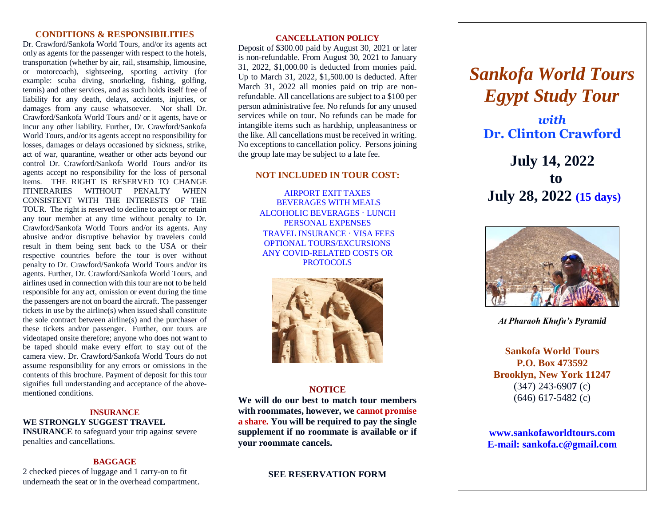#### **CONDITIONS & RESPONSIBILITIES**

Dr. Crawford/Sankofa World Tours, and/or its agents act only as agents for the passenger with respect to the hotels, transportation (whether by air, rail, steamship, limousine, or motorcoach), sightseeing, sporting activity (for example: scuba diving, snorkeling, fishing, golfing, tennis) and other services, and as such holds itself free of liability for any death, delays, accidents, injuries, or damages from any cause whatsoever. Nor shall Dr. Crawford/Sankofa World Tours and/ or it agents, have or incur any other liability. Further, Dr. Crawford/Sankofa World Tours, and/or its agents accept no responsibility for losses, damages or delays occasioned by sickness, strike, act of war, quarantine, weather or other acts beyond our control Dr. Crawford/Sankofa World Tours and/or its agents accept no responsibility for the loss of personal items. THE RIGHT IS RESERVED TO CHANGE ITINERARIES WITHOUT PENALTY WHEN CONSISTENT WITH THE INTERESTS OF THE TOUR. The right is reserved to decline to accept or retain any tour member at any time without penalty to Dr. Crawford/Sankofa World Tours and/or its agents. Any abusive and/or disruptive behavior by travelers could result in them being sent back to the USA or their respective countries before the tour is over without penalty to Dr. Crawford/Sankofa World Tours and/or its agents. Further, Dr. Crawford/Sankofa World Tours, and airlines used in connection with this tour are not to be held responsible for any act, omission or event during the time the passengers are not on board the aircraft. The passenger tickets in use by the airline(s) when issued shall constitute the sole contract between airline(s) and the purchaser of these tickets and/or passenger. Further, our tours are videotaped onsite therefore; anyone who does not want to be taped should make every effort to stay out of the camera view. Dr. Crawford/Sankofa World Tours do not assume responsibility for any errors or omissions in the contents of this brochure. Payment of deposit for this tour signifies full understanding and acceptance of the abovementioned conditions.

#### **INSURANCE WE STRONGLY SUGGEST TRAVEL INSURANCE** to safeguard your trip against severe penalties and cancellations.

#### **BAGGAGE**

2 checked pieces of luggage and 1 carry-on to fit underneath the seat or in the overhead compartment.

#### **CANCELLATION POLICY**

Deposit of \$300.00 paid by August 30, 2021 or later is non-refundable. From August 30, 2021 to January 31, 2022, \$1,000.00 is deducted from monies paid. Up to March 31, 2022, \$1,500.00 is deducted. After March 31, 2022 all monies paid on trip are nonrefundable. All cancellations are subject to a \$100 per person administrative fee. No refunds for any unused services while on tour. No refunds can be made for intangible items such as hardship, unpleasantness or the like. All cancellations must be received in writing. No exceptions to cancellation policy. Persons joining the group late may be subject to a late fee.

#### **NOT INCLUDED IN TOUR COST:**

AIRPORT EXIT TAXES BEVERAGES WITH MEALS ALCOHOLIC BEVERAGES ∙ LUNCH PERSONAL EXPENSES TRAVEL INSURANCE ∙ VISA FEES OPTIONAL TOURS/EXCURSIONS ANY COVID-RELATED COSTS OR PROTOCOLS



#### **NOTICE**

**We will do our best to match tour members with roommates, however, we cannot promise a share. You will be required to pay the single supplement if no roommate is available or if your roommate cancels.**

**SEE RESERVATION FORM**

# *Sankofa World Tours Egypt Study Tour*

 $\n *with*\n$ **Dr. Clinton Crawford**

**July 14, 2022 to July 28, 2022 (15 days)**



*At Pharaoh Khufu's Pyramid*

**Sankofa World Tours P.O. Box 473592 Brooklyn, New York 11247** (347) 243-690**7** (c) (646) 617-5482 (c)

**www.sankofaworldtours.com E-mail: [sankofa.c@gmail.com](mailto:sankofa.c@gmail.com)**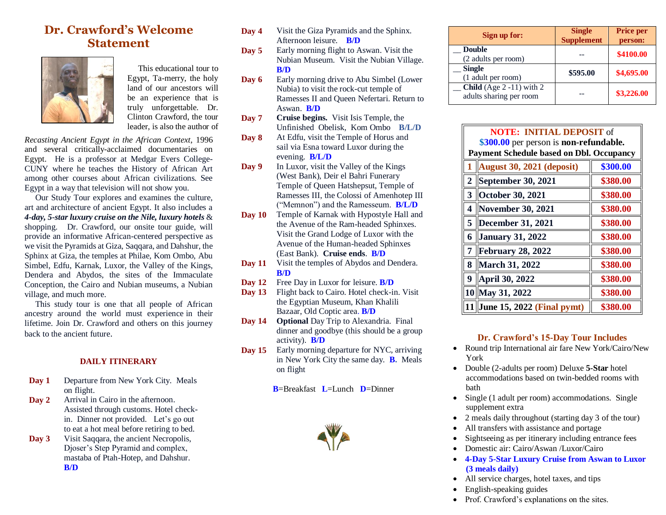# **Dr. Crawford's Welcome Statement**



 This educational tour to Egypt, Ta-merry, the holy land of our ancestors will be an experience that is truly unforgettable. Dr. Clinton Crawford, the tour leader, is also the author of

*Recasting Ancient Egypt in the African Context*, 1996 and several critically-acclaimed documentaries on Egypt. He is a professor at Medgar Evers College-CUNY where he teaches the History of African Art among other courses about African civilizations. See Egypt in a way that television will not show you.

 Our Study Tour explores and examines the culture, art and architecture of ancient Egypt. It also includes a *4-day, 5-star luxury cruise on the Nile, luxury hotels* & shopping. Dr. Crawford, our onsite tour guide, will provide an informative African-centered perspective as we visit the Pyramids at Giza, Saqqara, and Dahshur, the Sphinx at Giza, the temples at Philae, Kom Ombo, Abu Simbel, Edfu, Karnak, Luxor, the Valley of the Kings, Dendera and Abydos, the sites of the Immaculate Conception, the Cairo and Nubian museums, a Nubian village, and much more.

 This study tour is one that all people of African ancestry around the world must experience in their lifetime. Join Dr. Crawford and others on this journey back to the ancient future.

#### **DAILY ITINERARY**

- **Day 1** Departure from New York City. Meals on flight.
- **Day 2** Arrival in Cairo in the afternoon. Assisted through customs. Hotel checkin. Dinner not provided. Let's go out to eat a hot meal before retiring to bed.
- **Day 3** Visit Saqqara, the ancient Necropolis, Djoser's Step Pyramid and complex, mastaba of Ptah-Hotep, and Dahshur. **B/D**
- **Day 4** Visit the Giza Pyramids and the Sphinx. Afternoon leisure. **B/D**
- **Day 5** Early morning flight to Aswan. Visit the Nubian Museum. Visit the Nubian Village. **B/D**
- **Day 6** Early morning drive to Abu Simbel (Lower Nubia) to visit the rock-cut temple of Ramesses II and Queen Nefertari. Return to Aswan. **B/D**
- **Day 7 Cruise begins.** Visit Isis Temple, the Unfinished Obelisk, Kom Ombo **B/L/D**
- **Day 8** At Edfu, visit the Temple of Horus and sail via Esna toward Luxor during the evening. **B/L/D**
- **Day 9** In Luxor, visit the Valley of the Kings (West Bank), Deir el Bahri Funerary Temple of Queen Hatshepsut, Temple of Ramesses III, the Colossi of Amenhotep III ("Memnon") and the Ramesseum. **B/L/D**
- **Day 10** Temple of Karnak with Hypostyle Hall and the Avenue of the Ram-headed Sphinxes. Visit the Grand Lodge of Luxor with the Avenue of the Human-headed Sphinxes (East Bank). **Cruise ends**. **B/D**
- **Day 11** Visit the temples of Abydos and Dendera. **B/D**
- **Day 12** Free Day in Luxor for leisure. **B/D**
- Day 13 Flight back to Cairo. Hotel check-in. Visit the Egyptian Museum, Khan Khalili Bazaar, Old Coptic area. **B/D**
- **Day 14 Optional** Day Trip to Alexandria. Final dinner and goodbye (this should be a group activity). **B/D**
- **Day 15** Early morning departure for NYC, arriving in New York City the same day. **B.** Meals on flight

**B**=Breakfast **L**=Lunch **D**=Dinner



| Sign up for:                                                    | <b>Single</b><br><b>Supplement</b> | <b>Price per</b><br>person: |
|-----------------------------------------------------------------|------------------------------------|-----------------------------|
| <b>Double</b><br>(2 adults per room)                            |                                    | \$4100.00                   |
| <b>Single</b><br>(1 adult per room)                             | \$595.00                           | \$4,695.00                  |
| <b>Child</b> (Age $2 -11$ ) with $2$<br>adults sharing per room |                                    | \$3,226.00                  |

| <b>NOTE: INITIAL DEPOSIT of</b>                                                           |                                    |          |  |  |
|-------------------------------------------------------------------------------------------|------------------------------------|----------|--|--|
| \$300.00 per person is non-refundable.<br><b>Payment Schedule based on Dbl. Occupancy</b> |                                    |          |  |  |
|                                                                                           | <b>August 30, 2021 (deposit)</b>   | \$300.00 |  |  |
| $\overline{2}$                                                                            | September 30, 2021                 | \$380.00 |  |  |
| $\mathbf{3}$                                                                              | <b>October 30, 2021</b>            | \$380.00 |  |  |
| 4                                                                                         | November 30, 2021                  | \$380.00 |  |  |
| $\overline{5}$                                                                            | December 31, 2021                  | \$380.00 |  |  |
| 6                                                                                         | <b>January 31, 2022</b>            | \$380.00 |  |  |
| 7                                                                                         | <b>February 28, 2022</b>           | \$380.00 |  |  |
| 8                                                                                         | March 31, 2022                     | \$380.00 |  |  |
| 9                                                                                         | <b>April 30, 2022</b>              | \$380.00 |  |  |
|                                                                                           | 10 May 31, 2022                    | \$380.00 |  |  |
| 11                                                                                        | $\vert$ June 15, 2022 (Final pymt) | \$380.00 |  |  |

#### **Dr. Crawford's 15-Day Tour Includes**

- Round trip International air fare New York/Cairo/New York
- Double (2-adults per room) Deluxe **5-Star** hotel accommodations based on twin-bedded rooms with bath
- Single (1 adult per room) accommodations. Single supplement extra
- 2 meals daily throughout (starting day 3 of the tour)
- All transfers with assistance and portage
- Sightseeing as per itinerary including entrance fees
- Domestic air: Cairo/Aswan /Luxor/Cairo
- **4-Day 5-Star Luxury Cruise from Aswan to Luxor (3 meals daily)**
- All service charges, hotel taxes, and tips
- English-speaking guides
- Prof. Crawford's explanations on the sites.